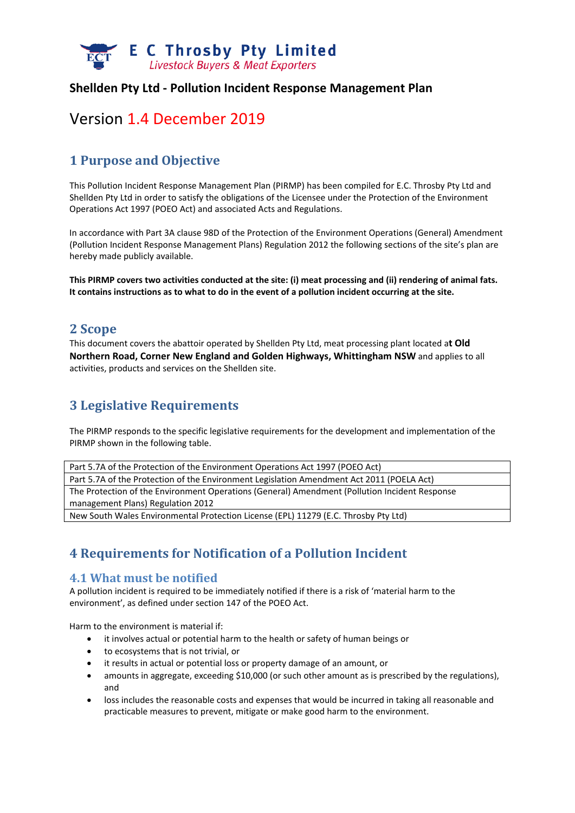

#### **Shellden Pty Ltd ‐ Pollution Incident Response Management Plan**

# Version 1.4 December 2019

# **1 Purpose and Objective**

This Pollution Incident Response Management Plan (PIRMP) has been compiled for E.C. Throsby Pty Ltd and Shellden Pty Ltd in order to satisfy the obligations of the Licensee under the Protection of the Environment Operations Act 1997 (POEO Act) and associated Acts and Regulations.

In accordance with Part 3A clause 98D of the Protection of the Environment Operations (General) Amendment (Pollution Incident Response Management Plans) Regulation 2012 the following sections of the site's plan are hereby made publicly available.

This PIRMP covers two activities conducted at the site: (i) meat processing and (ii) rendering of animal fats. It contains instructions as to what to do in the event of a pollution incident occurring at the site.

#### **2 Scope**

This document covers the abattoir operated by Shellden Pty Ltd, meat processing plant located a**t Old Northern Road, Corner New England and Golden Highways, Whittingham NSW** and applies to all activities, products and services on the Shellden site.

### **3 Legislative Requirements**

The PIRMP responds to the specific legislative requirements for the development and implementation of the PIRMP shown in the following table.

| Part 5.7A of the Protection of the Environment Operations Act 1997 (POEO Act)                 |
|-----------------------------------------------------------------------------------------------|
| Part 5.7A of the Protection of the Environment Legislation Amendment Act 2011 (POELA Act)     |
| The Protection of the Environment Operations (General) Amendment (Pollution Incident Response |
| management Plans) Regulation 2012                                                             |
| New South Wales Environmental Protection License (EPL) 11279 (E.C. Throsby Pty Ltd)           |

# **4 Requirements for Notification of a Pollution Incident**

#### **4.1 What must be notified**

A pollution incident is required to be immediately notified if there is a risk of 'material harm to the environment', as defined under section 147 of the POEO Act.

Harm to the environment is material if:

- it involves actual or potential harm to the health or safety of human beings or
- to ecosystems that is not trivial, or
- it results in actual or potential loss or property damage of an amount, or
- amounts in aggregate, exceeding \$10,000 (or such other amount as is prescribed by the regulations), and
- loss includes the reasonable costs and expenses that would be incurred in taking all reasonable and practicable measures to prevent, mitigate or make good harm to the environment.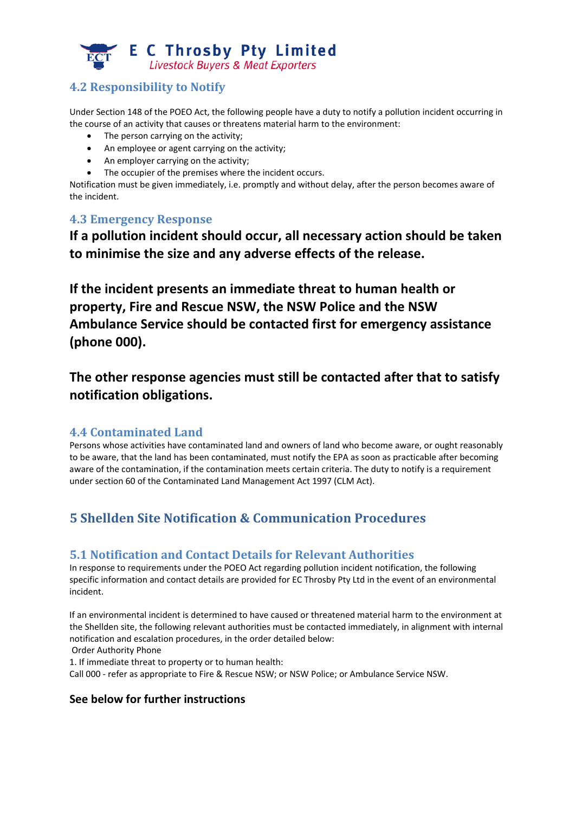

# **4.2 Responsibility to Notify**

Under Section 148 of the POEO Act, the following people have a duty to notify a pollution incident occurring in the course of an activity that causes or threatens material harm to the environment:

- The person carrying on the activity;
- An employee or agent carrying on the activity;
- An employer carrying on the activity;
- The occupier of the premises where the incident occurs.

Notification must be given immediately, i.e. promptly and without delay, after the person becomes aware of the incident.

#### **4.3 Emergency Response**

**If a pollution incident should occur, all necessary action should be taken to minimise the size and any adverse effects of the release.** 

**If the incident presents an immediate threat to human health or property, Fire and Rescue NSW, the NSW Police and the NSW Ambulance Service should be contacted first for emergency assistance (phone 000).**

**The other response agencies must still be contacted after that to satisfy notification obligations.**

### **4.4 Contaminated Land**

Persons whose activities have contaminated land and owners of land who become aware, or ought reasonably to be aware, that the land has been contaminated, must notify the EPA as soon as practicable after becoming aware of the contamination, if the contamination meets certain criteria. The duty to notify is a requirement under section 60 of the Contaminated Land Management Act 1997 (CLM Act).

# **5 Shellden Site Notification & Communication Procedures**

### **5.1 Notification and Contact Details for Relevant Authorities**

In response to requirements under the POEO Act regarding pollution incident notification, the following specific information and contact details are provided for EC Throsby Pty Ltd in the event of an environmental incident.

If an environmental incident is determined to have caused or threatened material harm to the environment at the Shellden site, the following relevant authorities must be contacted immediately, in alignment with internal notification and escalation procedures, in the order detailed below:

Order Authority Phone

1. If immediate threat to property or to human health:

Call 000 ‐ refer as appropriate to Fire & Rescue NSW; or NSW Police; or Ambulance Service NSW.

#### **See below for further instructions**